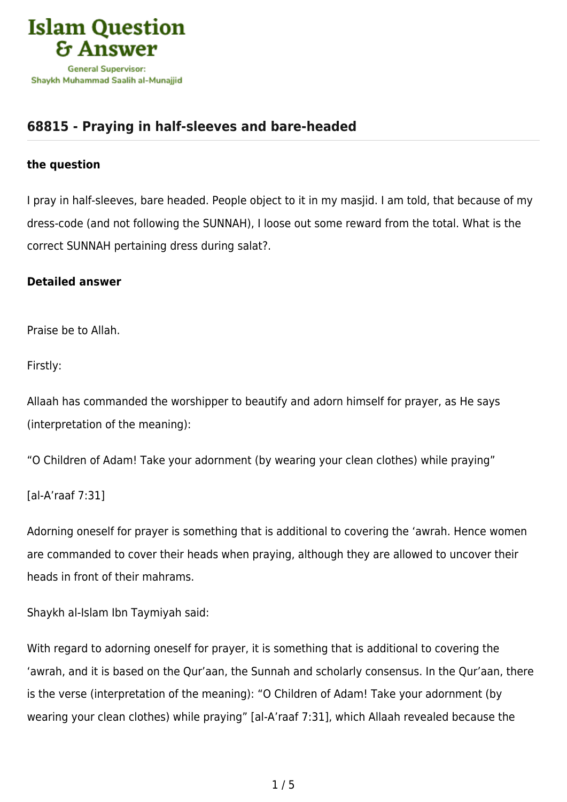

## **[68815 - Praying in half-sleeves and bare-headed](https://islamqa.ws/en/answers/68815/praying-in-half-sleeves-and-bare-headed)**

## **the question**

I pray in half-sleeves, bare headed. People object to it in my masjid. I am told, that because of my dress-code (and not following the SUNNAH), I loose out some reward from the total. What is the correct SUNNAH pertaining dress during salat?.

## **Detailed answer**

Praise be to Allah.

Firstly:

Allaah has commanded the worshipper to beautify and adorn himself for prayer, as He says (interpretation of the meaning):

"O Children of Adam! Take your adornment (by wearing your clean clothes) while praying"

[al-A'raaf 7:31]

Adorning oneself for prayer is something that is additional to covering the 'awrah. Hence women are commanded to cover their heads when praying, although they are allowed to uncover their heads in front of their mahrams.

Shaykh al-Islam Ibn Taymiyah said:

With regard to adorning oneself for prayer, it is something that is additional to covering the 'awrah, and it is based on the Qur'aan, the Sunnah and scholarly consensus. In the Qur'aan, there is the verse (interpretation of the meaning): "O Children of Adam! Take your adornment (by wearing your clean clothes) while praying" [al-A'raaf 7:31], which Allaah revealed because the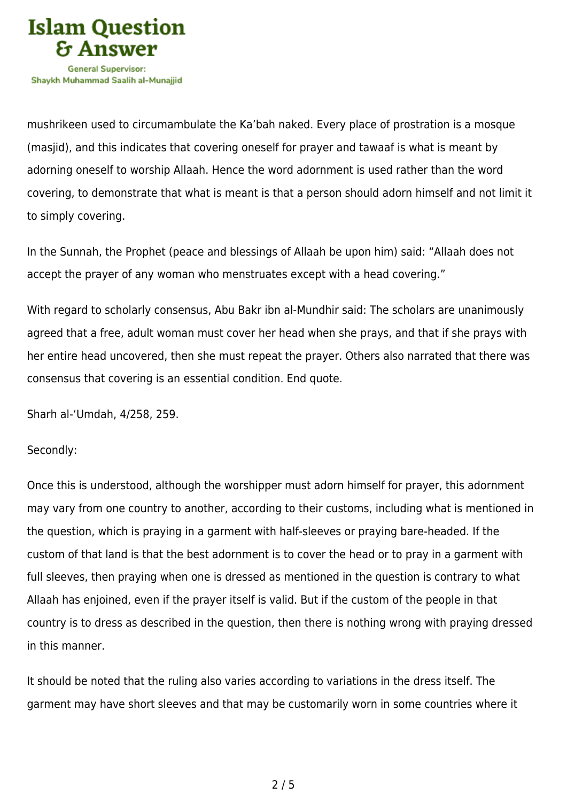

mushrikeen used to circumambulate the Ka'bah naked. Every place of prostration is a mosque (masjid), and this indicates that covering oneself for prayer and tawaaf is what is meant by adorning oneself to worship Allaah. Hence the word adornment is used rather than the word covering, to demonstrate that what is meant is that a person should adorn himself and not limit it to simply covering.

In the Sunnah, the Prophet (peace and blessings of Allaah be upon him) said: "Allaah does not accept the prayer of any woman who menstruates except with a head covering."

With regard to scholarly consensus, Abu Bakr ibn al-Mundhir said: The scholars are unanimously agreed that a free, adult woman must cover her head when she prays, and that if she prays with her entire head uncovered, then she must repeat the prayer. Others also narrated that there was consensus that covering is an essential condition. End quote.

Sharh al-'Umdah, 4/258, 259.

Secondly:

Once this is understood, although the worshipper must adorn himself for prayer, this adornment may vary from one country to another, according to their customs, including what is mentioned in the question, which is praying in a garment with half-sleeves or praying bare-headed. If the custom of that land is that the best adornment is to cover the head or to pray in a garment with full sleeves, then praying when one is dressed as mentioned in the question is contrary to what Allaah has enjoined, even if the prayer itself is valid. But if the custom of the people in that country is to dress as described in the question, then there is nothing wrong with praying dressed in this manner.

It should be noted that the ruling also varies according to variations in the dress itself. The garment may have short sleeves and that may be customarily worn in some countries where it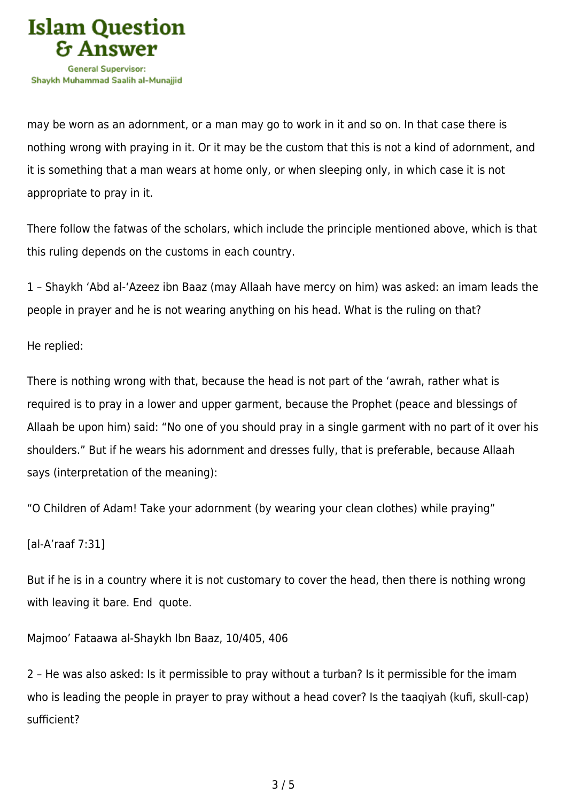

may be worn as an adornment, or a man may go to work in it and so on. In that case there is nothing wrong with praying in it. Or it may be the custom that this is not a kind of adornment, and it is something that a man wears at home only, or when sleeping only, in which case it is not appropriate to pray in it.

There follow the fatwas of the scholars, which include the principle mentioned above, which is that this ruling depends on the customs in each country.

1 – Shaykh 'Abd al-'Azeez ibn Baaz (may Allaah have mercy on him) was asked: an imam leads the people in prayer and he is not wearing anything on his head. What is the ruling on that?

He replied:

There is nothing wrong with that, because the head is not part of the 'awrah, rather what is required is to pray in a lower and upper garment, because the Prophet (peace and blessings of Allaah be upon him) said: "No one of you should pray in a single garment with no part of it over his shoulders." But if he wears his adornment and dresses fully, that is preferable, because Allaah says (interpretation of the meaning):

"O Children of Adam! Take your adornment (by wearing your clean clothes) while praying"

[al-A'raaf 7:31]

But if he is in a country where it is not customary to cover the head, then there is nothing wrong with leaving it bare. End quote.

Majmoo' Fataawa al-Shaykh Ibn Baaz, 10/405, 406

2 – He was also asked: Is it permissible to pray without a turban? Is it permissible for the imam who is leading the people in prayer to pray without a head cover? Is the taaqiyah (kufi, skull-cap) sufficient?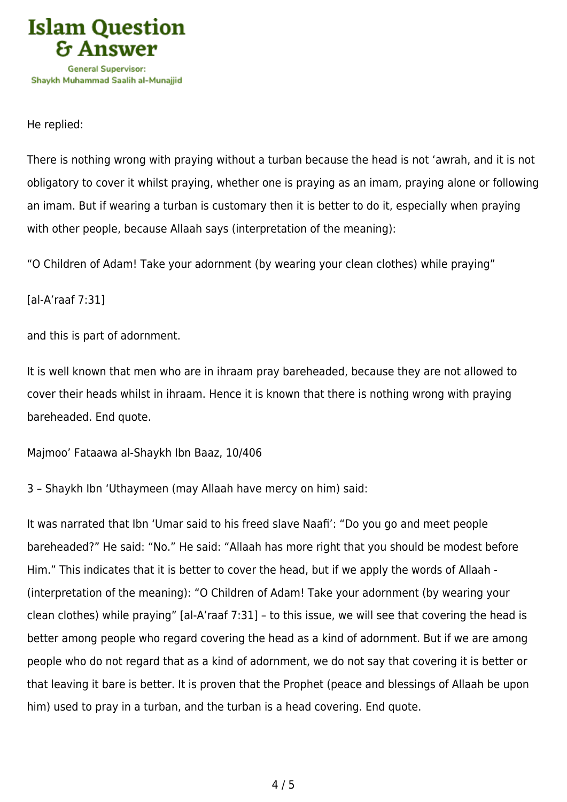

He replied:

There is nothing wrong with praying without a turban because the head is not 'awrah, and it is not obligatory to cover it whilst praying, whether one is praying as an imam, praying alone or following an imam. But if wearing a turban is customary then it is better to do it, especially when praying with other people, because Allaah says (interpretation of the meaning):

"O Children of Adam! Take your adornment (by wearing your clean clothes) while praying"

[al-A'raaf 7:31]

and this is part of adornment.

It is well known that men who are in ihraam pray bareheaded, because they are not allowed to cover their heads whilst in ihraam. Hence it is known that there is nothing wrong with praying bareheaded. End quote.

Majmoo' Fataawa al-Shaykh Ibn Baaz, 10/406

3 – Shaykh Ibn 'Uthaymeen (may Allaah have mercy on him) said:

It was narrated that Ibn 'Umar said to his freed slave Naafi': "Do you go and meet people bareheaded?" He said: "No." He said: "Allaah has more right that you should be modest before Him." This indicates that it is better to cover the head, but if we apply the words of Allaah - (interpretation of the meaning): "O Children of Adam! Take your adornment (by wearing your clean clothes) while praying" [al-A'raaf 7:31] – to this issue, we will see that covering the head is better among people who regard covering the head as a kind of adornment. But if we are among people who do not regard that as a kind of adornment, we do not say that covering it is better or that leaving it bare is better. It is proven that the Prophet (peace and blessings of Allaah be upon him) used to pray in a turban, and the turban is a head covering. End quote.